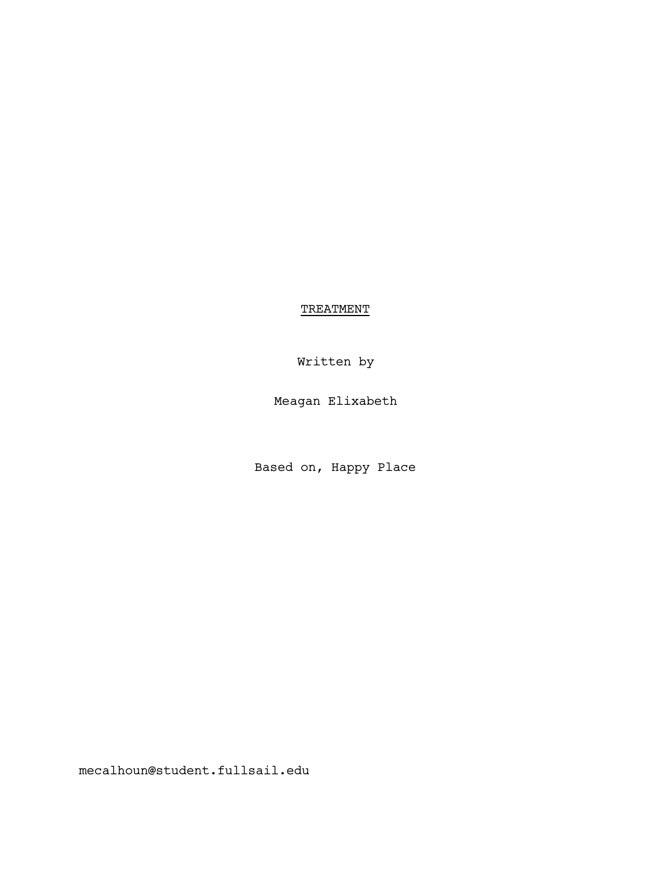**TREATMENT** 

Written by

Meagan Elixabeth

Based on, Happy Place

mecalhoun@student.fullsail.edu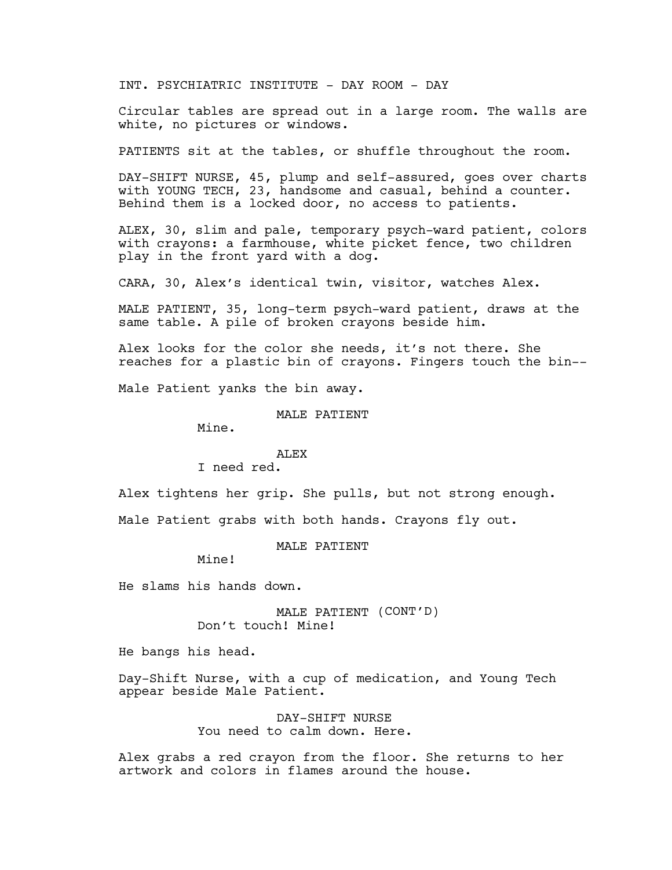INT. PSYCHIATRIC INSTITUTE - DAY ROOM - DAY

Circular tables are spread out in a large room. The walls are white, no pictures or windows.

PATIENTS sit at the tables, or shuffle throughout the room.

DAY-SHIFT NURSE, 45, plump and self-assured, goes over charts with YOUNG TECH, 23, handsome and casual, behind a counter. Behind them is a locked door, no access to patients.

ALEX, 30, slim and pale, temporary psych-ward patient, colors with crayons: a farmhouse, white picket fence, two children play in the front yard with a dog.

CARA, 30, Alex's identical twin, visitor, watches Alex.

MALE PATIENT, 35, long-term psych-ward patient, draws at the same table. A pile of broken crayons beside him.

Alex looks for the color she needs, it's not there. She reaches for a plastic bin of crayons. Fingers touch the bin--

Male Patient yanks the bin away.

MALE PATIENT

Mine.

### ALEX

I need red.

Alex tightens her grip. She pulls, but not strong enough.

Male Patient grabs with both hands. Crayons fly out.

MALE PATIENT

Mine!

He slams his hands down.

MALE PATIENT (CONT'D) Don't touch! Mine!

He bangs his head.

Day-Shift Nurse, with a cup of medication, and Young Tech appear beside Male Patient.

> DAY-SHIFT NURSE You need to calm down. Here.

Alex grabs a red crayon from the floor. She returns to her artwork and colors in flames around the house.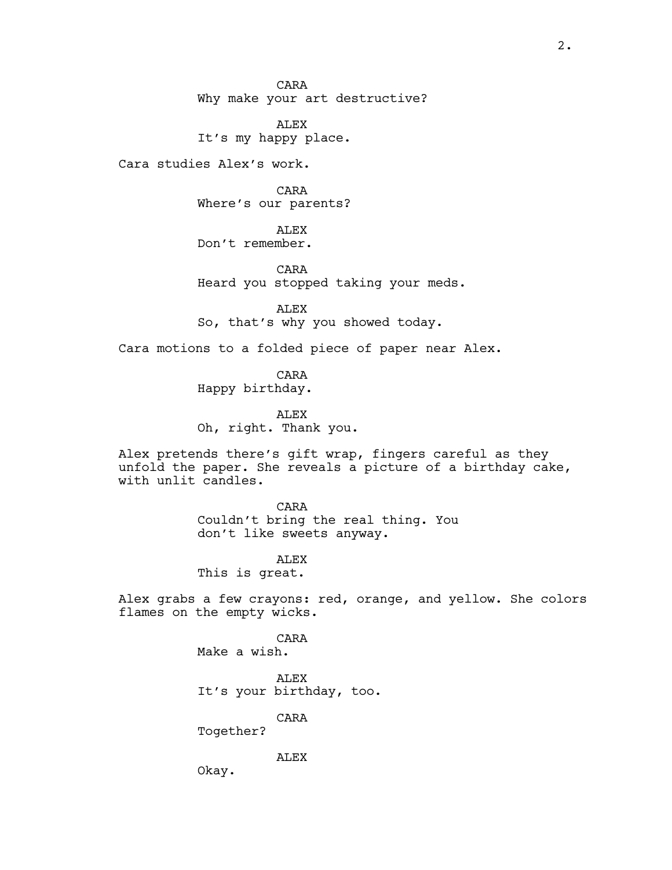CARA Why make your art destructive?

ALEX It's my happy place.

Cara studies Alex's work.

CARA Where's our parents?

ALEX Don't remember.

CARA Heard you stopped taking your meds.

ALEX So, that's why you showed today.

Cara motions to a folded piece of paper near Alex.

CARA Happy birthday.

ALEX Oh, right. Thank you.

Alex pretends there's gift wrap, fingers careful as they unfold the paper. She reveals a picture of a birthday cake, with unlit candles.

> CARA Couldn't bring the real thing. You don't like sweets anyway.

ALEX This is great.

Alex grabs a few crayons: red, orange, and yellow. She colors flames on the empty wicks.

> CARA Make a wish. ALEX

It's your birthday, too.

CARA

Together?

ALEX

Okay.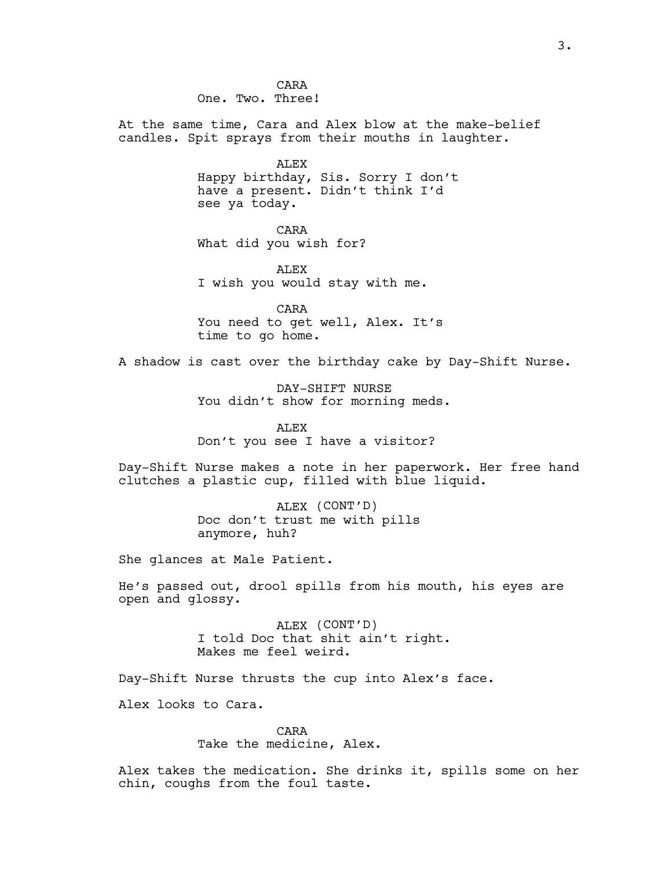CARA One. Two. Three!

At the same time, Cara and Alex blow at the make-belief candles. Spit sprays from their mouths in laughter.

> ALEX Happy birthday, Sis. Sorry I don't have a present. Didn't think I'd see ya today.

CARA What did you wish for?

ALEX I wish you would stay with me.

CARA You need to get well, Alex. It's time to go home.

A shadow is cast over the birthday cake by Day-Shift Nurse.

DAY-SHIFT NURSE You didn't show for morning meds.

ALEX Don't you see I have a visitor?

Day-Shift Nurse makes a note in her paperwork. Her free hand clutches a plastic cup, filled with blue liquid.

> ALEX (CONT'D) Doc don't trust me with pills anymore, huh?

She glances at Male Patient.

He's passed out, drool spills from his mouth, his eyes are open and glossy.

> ALEX (CONT'D) I told Doc that shit ain't right. Makes me feel weird.

Day-Shift Nurse thrusts the cup into Alex's face.

Alex looks to Cara.

CARA Take the medicine, Alex.

Alex takes the medication. She drinks it, spills some on her chin, coughs from the foul taste.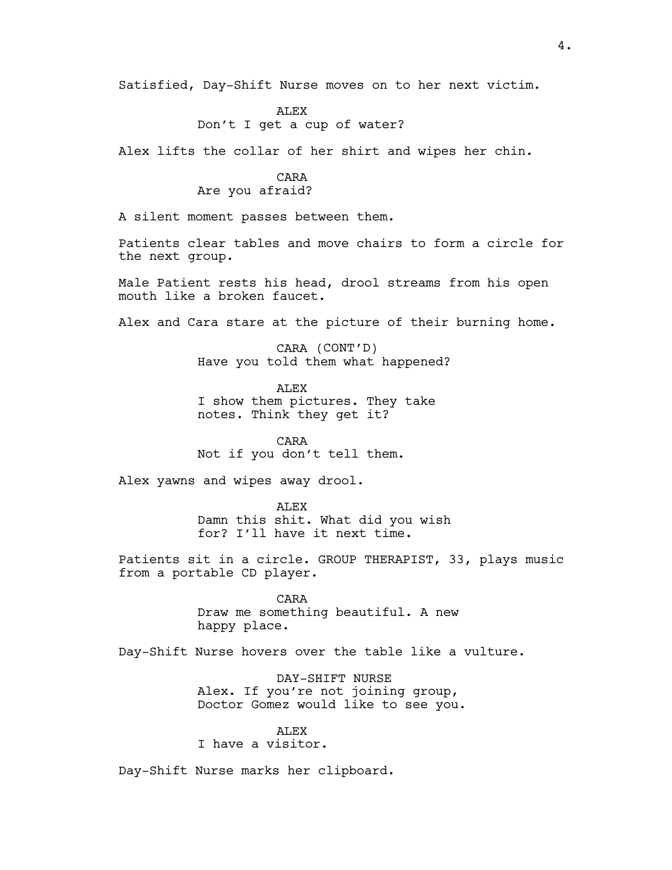Satisfied, Day-Shift Nurse moves on to her next victim.

## ALEX Don't I get a cup of water?

Alex lifts the collar of her shirt and wipes her chin.

# CARA

# Are you afraid?

A silent moment passes between them.

Patients clear tables and move chairs to form a circle for the next group.

Male Patient rests his head, drool streams from his open mouth like a broken faucet.

Alex and Cara stare at the picture of their burning home.

CARA (CONT'D) Have you told them what happened?

ALEX I show them pictures. They take notes. Think they get it?

CARA Not if you don't tell them.

Alex yawns and wipes away drool.

ALEX Damn this shit. What did you wish for? I'll have it next time.

Patients sit in a circle. GROUP THERAPIST, 33, plays music from a portable CD player.

> CARA Draw me something beautiful. A new happy place.

Day-Shift Nurse hovers over the table like a vulture.

DAY-SHIFT NURSE Alex. If you're not joining group, Doctor Gomez would like to see you.

#### **ALEX**

I have a visitor.

Day-Shift Nurse marks her clipboard.